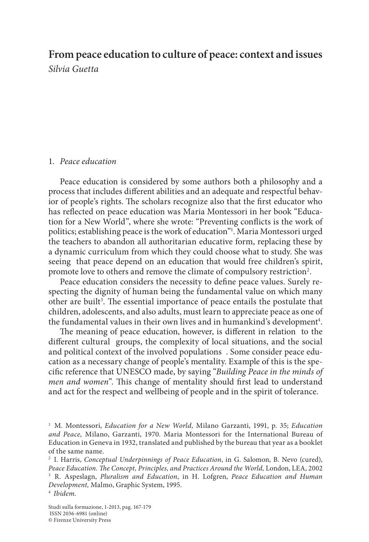# **From peace education to culture of peace: context and issues**

*Silvia Guetta*

## 1. *Peace education*

Peace education is considered by some authors both a philosophy and a process that includes different abilities and an adequate and respectful behavior of people's rights. The scholars recognize also that the first educator who has reflected on peace education was Maria Montessori in her book "Education for a New World", where she wrote: "Preventing conflicts is the work of politics; establishing peace is the work of education"1 . Maria Montessori urged the teachers to abandon all authoritarian educative form, replacing these by a dynamic curriculum from which they could choose what to study. She was seeing that peace depend on an education that would free children's spirit, promote love to others and remove the climate of compulsory restriction<sup>2</sup>.

Peace education considers the necessity to define peace values. Surely respecting the dignity of human being the fundamental value on which many other are built<sup>3</sup>. The essential importance of peace entails the postulate that children, adolescents, and also adults, must learn to appreciate peace as one of the fundamental values in their own lives and in humankind's development $^{\rm 4}.$ 

The meaning of peace education, however, is different in relation to the different cultural groups, the complexity of local situations, and the social and political context of the involved populations . Some consider peace education as a necessary change of people's mentality. Example of this is the specific reference that UNESCO made, by saying "*Building Peace in the minds of men and women*". This change of mentality should first lead to understand and act for the respect and wellbeing of people and in the spirit of tolerance.

<sup>1</sup> M. Montessori, *Education for a New World,* Milano Garzanti, 1991, p. 35; *Education and Peace,* Milano, Garzanti, 1970. Maria Montessori for the International Bureau of Education in Geneva in 1932, translated and published by the bureau that year as a booklet of the same name.

<sup>2</sup> I. Harris, *Conceptual Underpinnings of Peace Education*, in G. Salomon, B. Nevo (cured), *Peace Education. The Concept, Principles, and Practices Around the World,* London, LEA, 2002 <sup>3</sup> R. Aspeslagn, *Pluralism and Education*, in H. Lofgren, *Peace Education and Human Development,* Malmo, Graphic System, 1995. <sup>4</sup> *Ibidem.*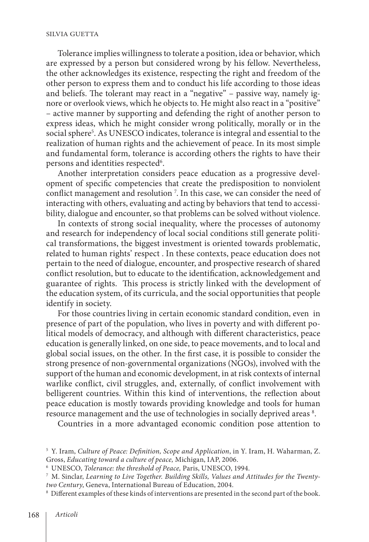#### SILVIA GUETTA

Tolerance implies willingness to tolerate a position, idea or behavior, which are expressed by a person but considered wrong by his fellow. Nevertheless, the other acknowledges its existence, respecting the right and freedom of the other person to express them and to conduct his life according to those ideas and beliefs. The tolerant may react in a "negative" – passive way, namely ignore or overlook views, which he objects to. He might also react in a "positive" – active manner by supporting and defending the right of another person to express ideas, which he might consider wrong politically, morally or in the social sphere5 . As UNESCO indicates, tolerance is integral and essential to the realization of human rights and the achievement of peace. In its most simple and fundamental form, tolerance is according others the rights to have their persons and identities respected $^6$ .

Another interpretation considers peace education as a progressive development of specific competencies that create the predisposition to nonviolent conflict management and resolution 7 . In this case, we can consider the need of interacting with others, evaluating and acting by behaviors that tend to accessibility, dialogue and encounter, so that problems can be solved without violence.

In contexts of strong social inequality, where the processes of autonomy and research for independency of local social conditions still generate political transformations, the biggest investment is oriented towards problematic, related to human rights' respect . In these contexts, peace education does not pertain to the need of dialogue, encounter, and prospective research of shared conflict resolution, but to educate to the identification, acknowledgement and guarantee of rights. This process is strictly linked with the development of the education system, of its curricula, and the social opportunities that people identify in society.

For those countries living in certain economic standard condition, even in presence of part of the population, who lives in poverty and with different political models of democracy, and although with different characteristics, peace education is generally linked, on one side, to peace movements, and to local and global social issues, on the other. In the first case, it is possible to consider the strong presence of non-governmental organizations (NGOs), involved with the support of the human and economic development, in at risk contexts of internal warlike conflict, civil struggles, and, externally, of conflict involvement with belligerent countries. Within this kind of interventions, the reflection about peace education is mostly towards providing knowledge and tools for human resource management and the use of technologies in socially deprived areas  $^{\mathrm{s}}$ .

Countries in a more advantaged economic condition pose attention to

<sup>5</sup> Y. Iram, *Culture of Peace: Definition, Scope and Application*, in Y. Iram, H. Waharman, Z. Gross, *Educating toward a culture of peace,* Michigan, IAP, 2006.

<sup>6</sup> UNESCO, *Tolerance: the threshold of Peace,* Paris, UNESCO, 1994.

<sup>7</sup> M. Sinclar, *Learning to Live Together. Building Skills, Values and Attitudes for the Twentytwo Century*, Geneva, International Bureau of Education, 2004.

<sup>&</sup>lt;sup>8</sup> Different examples of these kinds of interventions are presented in the second part of the book.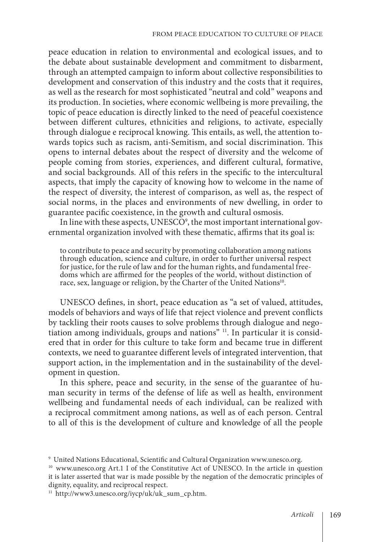peace education in relation to environmental and ecological issues, and to the debate about sustainable development and commitment to disbarment, through an attempted campaign to inform about collective responsibilities to development and conservation of this industry and the costs that it requires, as well as the research for most sophisticated "neutral and cold" weapons and its production. In societies, where economic wellbeing is more prevailing, the topic of peace education is directly linked to the need of peaceful coexistence between different cultures, ethnicities and religions, to activate, especially through dialogue e reciprocal knowing. This entails, as well, the attention towards topics such as racism, anti-Semitism, and social discrimination. This opens to internal debates about the respect of diversity and the welcome of people coming from stories, experiences, and different cultural, formative, and social backgrounds. All of this refers in the specific to the intercultural aspects, that imply the capacity of knowing how to welcome in the name of the respect of diversity, the interest of comparison, as well as, the respect of social norms, in the places and environments of new dwelling, in order to guarantee pacific coexistence, in the growth and cultural osmosis.

In line with these aspects,  $\mathrm{UNESCO}^{\circ},$  the most important international governmental organization involved with these thematic, affirms that its goal is:

to contribute to peace and security by promoting collaboration among nations through education, science and culture, in order to further universal respect for justice, for the rule of law and for the human rights, and fundamental freedoms which are affirmed for the peoples of the world, without distinction of race, sex, language or religion, by the Charter of the United Nations<sup>10</sup>.

UNESCO defines, in short, peace education as "a set of valued, attitudes, models of behaviors and ways of life that reject violence and prevent conflicts by tackling their roots causes to solve problems through dialogue and negotiation among individuals, groups and nations" 11. In particular it is considered that in order for this culture to take form and became true in different contexts, we need to guarantee different levels of integrated intervention, that support action, in the implementation and in the sustainability of the development in question.

In this sphere, peace and security, in the sense of the guarantee of human security in terms of the defense of life as well as health, environment wellbeing and fundamental needs of each individual, can be realized with a reciprocal commitment among nations, as well as of each person. Central to all of this is the development of culture and knowledge of all the people

<sup>9</sup> United Nations Educational, Scientific and Cultural Organization www.unesco.org.

<sup>&</sup>lt;sup>10</sup> www.unesco.org Art.1 I of the Constitutive Act of UNESCO. In the article in question it is later asserted that war is made possible by the negation of the democratic principles of dignity, equality, and reciprocal respect.

 $11$  http://www3.unesco.org/iycp/uk/uk sum cp.htm.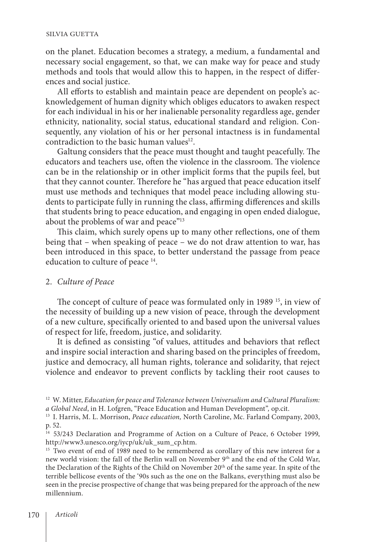#### SILVIA GUETTA

on the planet. Education becomes a strategy, a medium, a fundamental and necessary social engagement, so that, we can make way for peace and study methods and tools that would allow this to happen, in the respect of differences and social justice.

All efforts to establish and maintain peace are dependent on people's acknowledgement of human dignity which obliges educators to awaken respect for each individual in his or her inalienable personality regardless age, gender ethnicity, nationality, social status, educational standard and religion. Consequently, any violation of his or her personal intactness is in fundamental contradiction to the basic human values<sup>12</sup>.

Galtung considers that the peace must thought and taught peacefully. The educators and teachers use, often the violence in the classroom. The violence can be in the relationship or in other implicit forms that the pupils feel, but that they cannot counter. Therefore he "has argued that peace education itself must use methods and techniques that model peace including allowing students to participate fully in running the class, affirming differences and skills that students bring to peace education, and engaging in open ended dialogue, about the problems of war and peace"<sup>13</sup>

This claim, which surely opens up to many other reflections, one of them being that – when speaking of peace – we do not draw attention to war, has been introduced in this space, to better understand the passage from peace education to culture of peace 14.

#### 2. *Culture of Peace*

The concept of culture of peace was formulated only in 1989<sup>15</sup>, in view of the necessity of building up a new vision of peace, through the development of a new culture, specifically oriented to and based upon the universal values of respect for life, freedom, justice, and solidarity.

It is defined as consisting "of values, attitudes and behaviors that reflect and inspire social interaction and sharing based on the principles of freedom, justice and democracy, all human rights, tolerance and solidarity, that reject violence and endeavor to prevent conflicts by tackling their root causes to

<sup>&</sup>lt;sup>12</sup> W. Mitter, *Education for peace and Tolerance between Universalism and Cultural Pluralism: a Global Need*, in H. Lofgren, "Peace Education and Human Development"*,* op.cit.

<sup>13</sup> I. Harris, M. L. Morrison, *Peace education,* North Caroline, Mc. Farland Company, 2003, p. 52.

<sup>&</sup>lt;sup>14</sup> 53/243 Declaration and Programme of Action on a Culture of Peace, 6 October 1999, http://www3.unesco.org/iycp/uk/uk\_sum\_cp.htm.

<sup>&</sup>lt;sup>15</sup> Two event of end of 1989 need to be remembered as corollary of this new interest for a new world vision: the fall of the Berlin wall on November 9th and the end of the Cold War, the Declaration of the Rights of the Child on November 20th of the same year. In spite of the terrible bellicose events of the '90s such as the one on the Balkans, everything must also be seen in the precise prospective of change that was being prepared for the approach of the new millennium.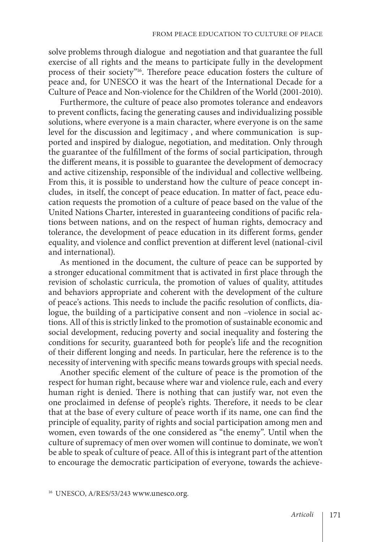solve problems through dialogue and negotiation and that guarantee the full exercise of all rights and the means to participate fully in the development process of their society"16. Therefore peace education fosters the culture of peace and, for UNESCO it was the heart of the International Decade for a Culture of Peace and Non-violence for the Children of the World (2001-2010).

Furthermore, the culture of peace also promotes tolerance and endeavors to prevent conflicts, facing the generating causes and individualizing possible solutions, where everyone is a main character, where everyone is on the same level for the discussion and legitimacy , and where communication is supported and inspired by dialogue, negotiation, and meditation. Only through the guarantee of the fulfillment of the forms of social participation, through the different means, it is possible to guarantee the development of democracy and active citizenship, responsible of the individual and collective wellbeing. From this, it is possible to understand how the culture of peace concept includes, in itself, the concept of peace education. In matter of fact, peace education requests the promotion of a culture of peace based on the value of the United Nations Charter, interested in guaranteeing conditions of pacific relations between nations, and on the respect of human rights, democracy and tolerance, the development of peace education in its different forms, gender equality, and violence and conflict prevention at different level (national-civil and international).

As mentioned in the document, the culture of peace can be supported by a stronger educational commitment that is activated in first place through the revision of scholastic curricula, the promotion of values of quality, attitudes and behaviors appropriate and coherent with the development of the culture of peace's actions. This needs to include the pacific resolution of conflicts, dialogue, the building of a participative consent and non –violence in social actions. All of this is strictly linked to the promotion of sustainable economic and social development, reducing poverty and social inequality and fostering the conditions for security, guaranteed both for people's life and the recognition of their different longing and needs. In particular, here the reference is to the necessity of intervening with specific means towards groups with special needs.

Another specific element of the culture of peace is the promotion of the respect for human right, because where war and violence rule, each and every human right is denied. There is nothing that can justify war, not even the one proclaimed in defense of people's rights. Therefore, it needs to be clear that at the base of every culture of peace worth if its name, one can find the principle of equality, parity of rights and social participation among men and women, even towards of the one considered as "the enemy". Until when the culture of supremacy of men over women will continue to dominate, we won't be able to speak of culture of peace. All of this is integrant part of the attention to encourage the democratic participation of everyone, towards the achieve-

<sup>16</sup> UNESCO, A/RES/53/243 www.unesco.org.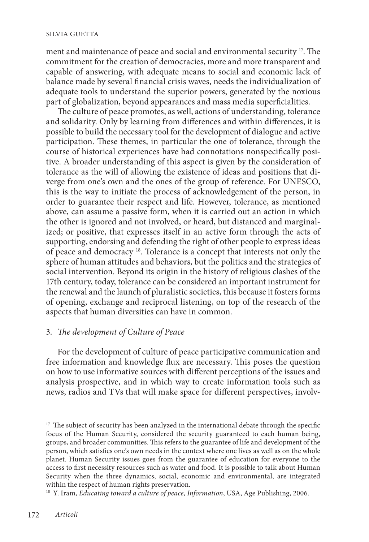ment and maintenance of peace and social and environmental security 17. The commitment for the creation of democracies, more and more transparent and capable of answering, with adequate means to social and economic lack of balance made by several financial crisis waves, needs the individualization of adequate tools to understand the superior powers, generated by the noxious part of globalization, beyond appearances and mass media superficialities.

The culture of peace promotes, as well, actions of understanding, tolerance and solidarity. Only by learning from differences and within differences, it is possible to build the necessary tool for the development of dialogue and active participation. These themes, in particular the one of tolerance, through the course of historical experiences have had connotations nonspecifically positive. A broader understanding of this aspect is given by the consideration of tolerance as the will of allowing the existence of ideas and positions that diverge from one's own and the ones of the group of reference. For UNESCO, this is the way to initiate the process of acknowledgement of the person, in order to guarantee their respect and life. However, tolerance, as mentioned above, can assume a passive form, when it is carried out an action in which the other is ignored and not involved, or heard, but distanced and marginalized; or positive, that expresses itself in an active form through the acts of supporting, endorsing and defending the right of other people to express ideas of peace and democracy 18. Tolerance is a concept that interests not only the sphere of human attitudes and behaviors, but the politics and the strategies of social intervention. Beyond its origin in the history of religious clashes of the 17th century, today, tolerance can be considered an important instrument for the renewal and the launch of pluralistic societies, this because it fosters forms of opening, exchange and reciprocal listening, on top of the research of the aspects that human diversities can have in common.

# 3. *The development of Culture of Peace*

For the development of culture of peace participative communication and free information and knowledge flux are necessary. This poses the question on how to use informative sources with different perceptions of the issues and analysis prospective, and in which way to create information tools such as news, radios and TVs that will make space for different perspectives, involv-

<sup>18</sup> Y. Iram, *Educating toward a culture of peace*, *Information*, USA, Age Publishing, 2006.

 $17$  The subject of security has been analyzed in the international debate through the specific focus of the Human Security, considered the security guaranteed to each human being, groups, and broader communities. This refers to the guarantee of life and development of the person, which satisfies one's own needs in the context where one lives as well as on the whole planet. Human Security issues goes from the guarantee of education for everyone to the access to first necessity resources such as water and food. It is possible to talk about Human Security when the three dynamics, social, economic and environmental, are integrated within the respect of human rights preservation.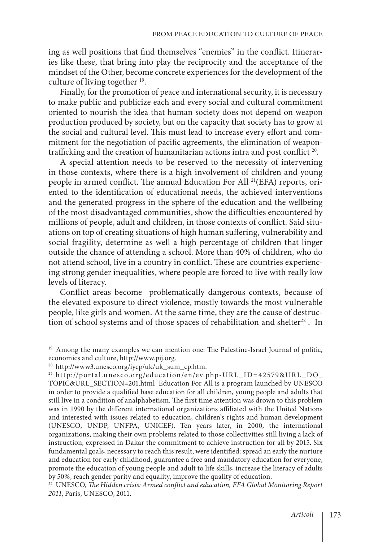ing as well positions that find themselves "enemies" in the conflict. Itineraries like these, that bring into play the reciprocity and the acceptance of the mindset of the Other, become concrete experiences for the development of the culture of living together 19.

Finally, for the promotion of peace and international security, it is necessary to make public and publicize each and every social and cultural commitment oriented to nourish the idea that human society does not depend on weapon production produced by society, but on the capacity that society has to grow at the social and cultural level. This must lead to increase every effort and commitment for the negotiation of pacific agreements, the elimination of weapontrafficking and the creation of humanitarian actions intra and post conflict 20.

A special attention needs to be reserved to the necessity of intervening in those contexts, where there is a high involvement of children and young people in armed conflict. The annual Education For All <sup>21</sup>(EFA) reports, oriented to the identification of educational needs, the achieved interventions and the generated progress in the sphere of the education and the wellbeing of the most disadvantaged communities, show the difficulties encountered by millions of people, adult and children, in those contexts of conflict. Said situations on top of creating situations of high human suffering, vulnerability and social fragility, determine as well a high percentage of children that linger outside the chance of attending a school. More than 40% of children, who do not attend school, live in a country in conflict. These are countries experiencing strong gender inequalities, where people are forced to live with really low levels of literacy.

Conflict areas become problematically dangerous contexts, because of the elevated exposure to direct violence, mostly towards the most vulnerable people, like girls and women. At the same time, they are the cause of destruction of school systems and of those spaces of rehabilitation and shelter<sup>22</sup>. In

<sup>22</sup> UNESCO, The Hidden crisis: Armed conflict and education, EFA Global Monitoring Report *2011*, Paris, UNESCO, 2011.

<sup>&</sup>lt;sup>19</sup> Among the many examples we can mention one: The Palestine-Israel Journal of politic, economics and culture, http://www.pij.org.

<sup>20</sup> http://www3.unesco.org/iycp/uk/uk\_sum\_cp.htm.

<sup>21</sup> http://portal.unesco.org/education/en/ev.php-URL\_ID=42579&URL\_DO\_ TOPIC&URL\_SECTION=201.html Education For All is a program launched by UNESCO in order to provide a qualified base education for all children, young people and adults that still live in a condition of analphabetism. The first time attention was drown to this problem was in 1990 by the different international organizations affiliated with the United Nations and interested with issues related to education, children's rights and human development (UNESCO, UNDP, UNFPA, UNICEF). Ten years later, in 2000, the international organizations, making their own problems related to those collectivities still living a lack of instruction, expressed in Dakar the commitment to achieve instruction for all by 2015. Six fundamental goals, necessary to reach this result, were identified: spread an early the nurture and education for early childhood, guarantee a free and mandatory education for everyone, promote the education of young people and adult to life skills, increase the literacy of adults by 50%, reach gender parity and equality, improve the quality of education.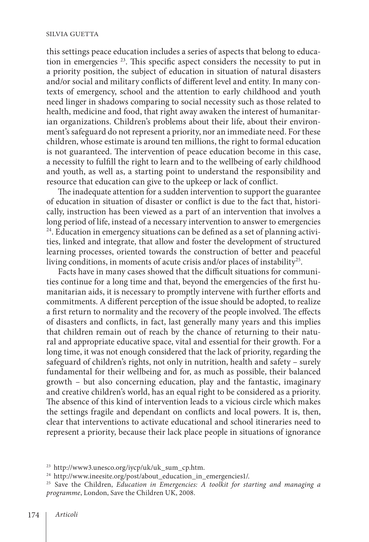this settings peace education includes a series of aspects that belong to education in emergencies <sup>23</sup>. This specific aspect considers the necessity to put in a priority position, the subject of education in situation of natural disasters and/or social and military conflicts of different level and entity. In many contexts of emergency, school and the attention to early childhood and youth need linger in shadows comparing to social necessity such as those related to health, medicine and food, that right away awaken the interest of humanitarian organizations. Children's problems about their life, about their environment's safeguard do not represent a priority, nor an immediate need. For these children, whose estimate is around ten millions, the right to formal education is not guaranteed. The intervention of peace education become in this case, a necessity to fulfill the right to learn and to the wellbeing of early childhood and youth, as well as, a starting point to understand the responsibility and resource that education can give to the upkeep or lack of conflict.

The inadequate attention for a sudden intervention to support the guarantee of education in situation of disaster or conflict is due to the fact that, historically, instruction has been viewed as a part of an intervention that involves a long period of life, instead of a necessary intervention to answer to emergencies <sup>24</sup>. Education in emergency situations can be defined as a set of planning activities, linked and integrate, that allow and foster the development of structured learning processes, oriented towards the construction of better and peaceful living conditions, in moments of acute crisis and/or places of instability<sup>25</sup>.

Facts have in many cases showed that the difficult situations for communities continue for a long time and that, beyond the emergencies of the first humanitarian aids, it is necessary to promptly intervene with further efforts and commitments. A different perception of the issue should be adopted, to realize a first return to normality and the recovery of the people involved. The effects of disasters and conflicts, in fact, last generally many years and this implies that children remain out of reach by the chance of returning to their natural and appropriate educative space, vital and essential for their growth. For a long time, it was not enough considered that the lack of priority, regarding the safeguard of children's rights, not only in nutrition, health and safety – surely fundamental for their wellbeing and for, as much as possible, their balanced growth – but also concerning education, play and the fantastic, imaginary and creative children's world, has an equal right to be considered as a priority. The absence of this kind of intervention leads to a vicious circle which makes the settings fragile and dependant on conflicts and local powers. It is, then, clear that interventions to activate educational and school itineraries need to represent a priority, because their lack place people in situations of ignorance

<sup>23</sup> http://www3.unesco.org/iycp/uk/uk\_sum\_cp.htm.

<sup>&</sup>lt;sup>24</sup> http://www.ineesite.org/post/about\_education\_in\_emergencies1/.

<sup>25</sup> Save the Children, *Education in Emergencies: A toolkit for starting and managing a programme*, London, Save the Children UK, 2008.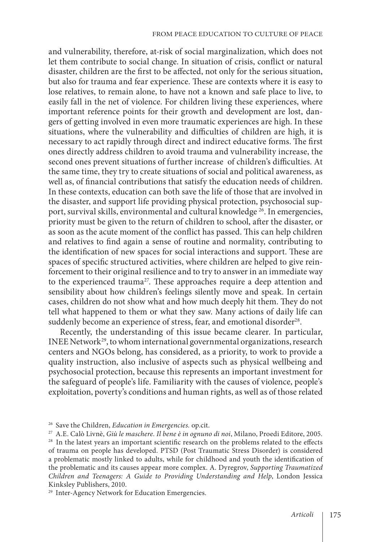and vulnerability, therefore, at-risk of social marginalization, which does not let them contribute to social change. In situation of crisis, conflict or natural disaster, children are the first to be affected, not only for the serious situation, but also for trauma and fear experience. These are contexts where it is easy to lose relatives, to remain alone, to have not a known and safe place to live, to easily fall in the net of violence. For children living these experiences, where important reference points for their growth and development are lost, dangers of getting involved in even more traumatic experiences are high. In these situations, where the vulnerability and difficulties of children are high, it is necessary to act rapidly through direct and indirect educative forms. The first ones directly address children to avoid trauma and vulnerability increase, the second ones prevent situations of further increase of children's difficulties. At the same time, they try to create situations of social and political awareness, as well as, of financial contributions that satisfy the education needs of children. In these contexts, education can both save the life of those that are involved in the disaster, and support life providing physical protection, psychosocial support, survival skills, environmental and cultural knowledge<sup>26</sup>. In emergencies, priority must be given to the return of children to school, after the disaster, or as soon as the acute moment of the conflict has passed. This can help children and relatives to find again a sense of routine and normality, contributing to the identification of new spaces for social interactions and support. These are spaces of specific structured activities, where children are helped to give reinforcement to their original resilience and to try to answer in an immediate way to the experienced trauma<sup>27</sup>. These approaches require a deep attention and sensibility about how children's feelings silently move and speak. In certain cases, children do not show what and how much deeply hit them. They do not tell what happened to them or what they saw. Many actions of daily life can suddenly become an experience of stress, fear, and emotional disorder<sup>28</sup>.

Recently, the understanding of this issue became clearer. In particular, INEE Network<sup>29</sup>, to whom international governmental organizations, research centers and NGOs belong, has considered, as a priority, to work to provide a quality instruction, also inclusive of aspects such as physical wellbeing and psychosocial protection, because this represents an important investment for the safeguard of people's life. Familiarity with the causes of violence, people's exploitation, poverty's conditions and human rights, as well as of those related

<sup>26</sup> Save the Children, *Education in Emergencies.* op.cit.

<sup>27</sup> A.E. Calò Livnè, *Giù le maschere. Il bene è in ognuno di noi*, Milano, Proedi Editore, 2005.

<sup>29</sup> Inter-Agency Network for Education Emergencies.

 $28$  In the latest years an important scientific research on the problems related to the effects of trauma on people has developed. PTSD (Post Traumatic Stress Disorder) is considered a problematic mostly linked to adults, while for childhood and youth the identification of the problematic and its causes appear more complex. A. Dyregrov, *Supporting Traumatized Children and Teenagers: A Guide to Providing Understanding and Help*, London Jessica Kinksley Publishers, 2010.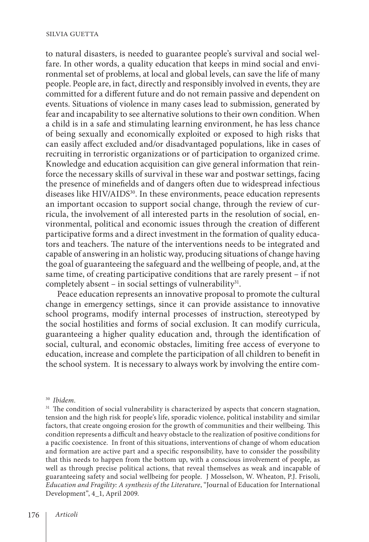#### SILVIA GUETTA

to natural disasters, is needed to guarantee people's survival and social welfare. In other words, a quality education that keeps in mind social and environmental set of problems, at local and global levels, can save the life of many people. People are, in fact, directly and responsibly involved in events, they are committed for a different future and do not remain passive and dependent on events. Situations of violence in many cases lead to submission, generated by fear and incapability to see alternative solutions to their own condition. When a child is in a safe and stimulating learning environment, he has less chance of being sexually and economically exploited or exposed to high risks that can easily affect excluded and/or disadvantaged populations, like in cases of recruiting in terroristic organizations or of participation to organized crime. Knowledge and education acquisition can give general information that reinforce the necessary skills of survival in these war and postwar settings, facing the presence of minefields and of dangers often due to widespread infectious diseases like HIV/AIDS<sup>30</sup>. In these environments, peace education represents an important occasion to support social change, through the review of curricula, the involvement of all interested parts in the resolution of social, environmental, political and economic issues through the creation of different participative forms and a direct investment in the formation of quality educators and teachers. The nature of the interventions needs to be integrated and capable of answering in an holistic way, producing situations of change having the goal of guaranteeing the safeguard and the wellbeing of people, and, at the same time, of creating participative conditions that are rarely present – if not completely absent – in social settings of vulnerability<sup>31</sup>.

Peace education represents an innovative proposal to promote the cultural change in emergency settings, since it can provide assistance to innovative school programs, modify internal processes of instruction, stereotyped by the social hostilities and forms of social exclusion. It can modify curricula, guaranteeing a higher quality education and, through the identification of social, cultural, and economic obstacles, limiting free access of everyone to education, increase and complete the participation of all children to benefit in the school system. It is necessary to always work by involving the entire com-

<sup>30</sup> *Ibidem.*

<sup>&</sup>lt;sup>31</sup> The condition of social vulnerability is characterized by aspects that concern stagnation, tension and the high risk for people's life, sporadic violence, political instability and similar factors, that create ongoing erosion for the growth of communities and their wellbeing. This condition represents a difficult and heavy obstacle to the realization of positive conditions for a pacific coexistence. In front of this situations, interventions of change of whom education and formation are active part and a specific responsibility, have to consider the possibility that this needs to happen from the bottom up, with a conscious involvement of people, as well as through precise political actions, that reveal themselves as weak and incapable of guaranteeing safety and social wellbeing for people. J Mosselson, W. Wheaton, P.J. Frisoli, *Education and Fragility: A synthesis of the Literature*, "Journal of Education for International Development", 4\_1, April 2009.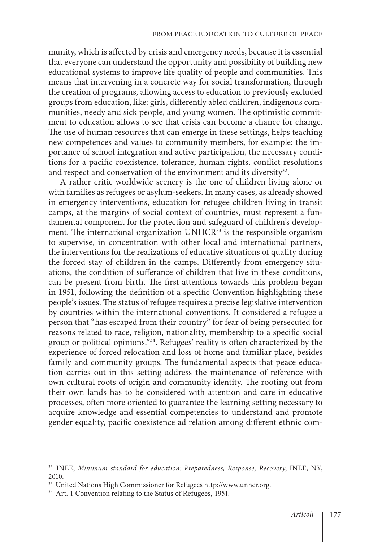munity, which is affected by crisis and emergency needs, because it is essential that everyone can understand the opportunity and possibility of building new educational systems to improve life quality of people and communities. This means that intervening in a concrete way for social transformation, through the creation of programs, allowing access to education to previously excluded groups from education, like: girls, differently abled children, indigenous communities, needy and sick people, and young women. The optimistic commitment to education allows to see that crisis can become a chance for change. The use of human resources that can emerge in these settings, helps teaching new competences and values to community members, for example: the importance of school integration and active participation, the necessary conditions for a pacific coexistence, tolerance, human rights, conflict resolutions and respect and conservation of the environment and its diversity<sup>32</sup>.

A rather critic worldwide scenery is the one of children living alone or with families as refugees or asylum-seekers. In many cases, as already showed in emergency interventions, education for refugee children living in transit camps, at the margins of social context of countries, must represent a fundamental component for the protection and safeguard of children's development. The international organization UNHCR<sup>33</sup> is the responsible organism to supervise, in concentration with other local and international partners, the interventions for the realizations of educative situations of quality during the forced stay of children in the camps. Differently from emergency situations, the condition of sufferance of children that live in these conditions, can be present from birth. The first attentions towards this problem began in 1951, following the definition of a specific Convention highlighting these people's issues. The status of refugee requires a precise legislative intervention by countries within the international conventions. It considered a refugee a person that "has escaped from their country" for fear of being persecuted for reasons related to race, religion, nationality, membership to a specific social group or political opinions.<sup>"34</sup>. Refugees' reality is often characterized by the experience of forced relocation and loss of home and familiar place, besides family and community groups. The fundamental aspects that peace education carries out in this setting address the maintenance of reference with own cultural roots of origin and community identity. The rooting out from their own lands has to be considered with attention and care in educative processes, often more oriented to guarantee the learning setting necessary to acquire knowledge and essential competencies to understand and promote gender equality, pacific coexistence ad relation among different ethnic com-

<sup>32</sup> INEE, *Minimum standard for education: Preparedness, Response, Recovery*, INEE, NY, 2010.

<sup>33</sup> United Nations High Commissioner for Refugees http://www.unhcr.org.

<sup>&</sup>lt;sup>34</sup> Art. 1 Convention relating to the Status of Refugees, 1951.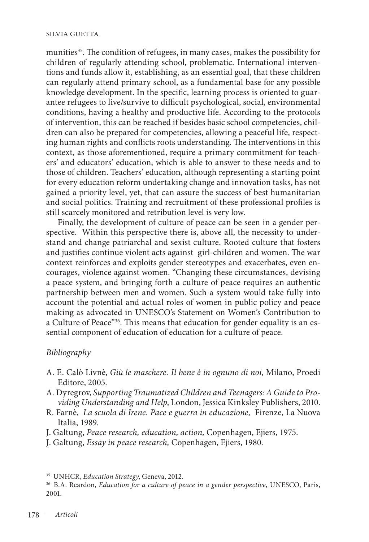munities<sup>35</sup>. The condition of refugees, in many cases, makes the possibility for children of regularly attending school, problematic. International interventions and funds allow it, establishing, as an essential goal, that these children can regularly attend primary school, as a fundamental base for any possible knowledge development. In the specific, learning process is oriented to guarantee refugees to live/survive to difficult psychological, social, environmental conditions, having a healthy and productive life. According to the protocols of intervention, this can be reached if besides basic school competencies, children can also be prepared for competencies, allowing a peaceful life, respecting human rights and conflicts roots understanding. The interventions in this context, as those aforementioned, require a primary commitment for teachers' and educators' education, which is able to answer to these needs and to those of children. Teachers' education, although representing a starting point for every education reform undertaking change and innovation tasks, has not gained a priority level, yet, that can assure the success of best humanitarian and social politics. Training and recruitment of these professional profiles is still scarcely monitored and retribution level is very low.

Finally, the development of culture of peace can be seen in a gender perspective. Within this perspective there is, above all, the necessity to understand and change patriarchal and sexist culture. Rooted culture that fosters and justifies continue violent acts against girl-children and women. The war context reinforces and exploits gender stereotypes and exacerbates, even encourages, violence against women. "Changing these circumstances, devising a peace system, and bringing forth a culture of peace requires an authentic partnership between men and women. Such a system would take fully into account the potential and actual roles of women in public policy and peace making as advocated in UNESCO's Statement on Women's Contribution to a Culture of Peace"36. This means that education for gender equality is an essential component of education of education for a culture of peace.

## *Bibliography*

- A. E. Calò Livnè, *Giù le maschere. Il bene è in ognuno di noi*, Milano, Proedi Editore, 2005.
- A. Dyregrov, *Supporting Traumatized Children and Teenagers: A Guide to Providing Understanding and Help*, London, Jessica Kinksley Publishers, 2010.
- R. Farnè, *La scuola di Irene. Pace e guerra in educazione,* Firenze, La Nuova Italia, 1989.
- J. Galtung, *Peace research, education, action,* Copenhagen, Ejiers, 1975.
- J. Galtung, *Essay in peace research,* Copenhagen, Ejiers, 1980.

<sup>35</sup> UNHCR, *Education Strategy*, Geneva, 2012.

<sup>36</sup> B.A. Reardon, *Education for a culture of peace in a gender perspective,* UNESCO, Paris, 2001.